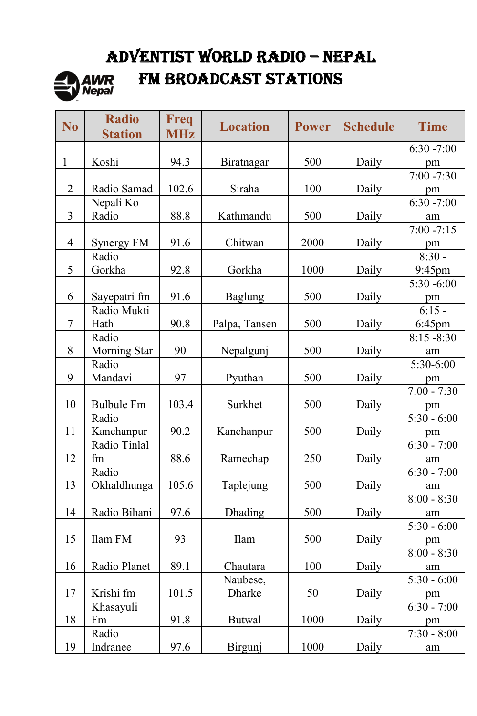# ADVENTIST WORLD RADIO – NEPAL



# FM BROADCAST STATIONS

| N <sub>0</sub> | <b>Radio</b><br><b>Station</b> | Freq<br><b>MHz</b> | <b>Location</b> | <b>Power</b> | <b>Schedule</b> | <b>Time</b>             |
|----------------|--------------------------------|--------------------|-----------------|--------------|-----------------|-------------------------|
|                |                                |                    |                 |              |                 | $6:30 - 7:00$           |
| $\mathbf{1}$   | Koshi                          | 94.3               | Biratnagar      | 500          | Daily           | pm                      |
|                |                                |                    |                 |              |                 | $7:00 - 7:30$           |
| $\overline{2}$ | Radio Samad                    | 102.6              | Siraha          | 100          | Daily           | pm                      |
|                | Nepali Ko                      |                    |                 |              |                 | $6:30 - 7:00$           |
| $\overline{3}$ | Radio                          | 88.8               | Kathmandu       | 500          | Daily           | am                      |
|                |                                |                    |                 |              |                 | $7:00 - 7:15$           |
| $\overline{4}$ | Synergy FM                     | 91.6               | Chitwan         | 2000         | Daily           | pm                      |
|                | Radio                          |                    |                 |              |                 | $8:30 -$                |
| 5              | Gorkha                         | 92.8               | Gorkha          | 1000         | Daily           | 9:45pm                  |
|                |                                |                    |                 |              |                 | $5:30 - 6:00$           |
| 6              | Sayepatri fm                   | 91.6               | Baglung         | 500          | Daily           | pm                      |
|                | Radio Mukti                    |                    |                 |              |                 | $6:15 -$                |
| 7              | Hath                           | 90.8               | Palpa, Tansen   | 500          | Daily           | 6:45pm                  |
|                | Radio                          |                    |                 |              |                 | $8:15 - 8:30$           |
| 8              | Morning Star                   | 90                 | Nepalgunj       | 500          | Daily           | am                      |
|                | Radio                          |                    |                 |              |                 | $\overline{5:30}$ -6:00 |
| 9              | Mandavi                        | 97                 | Pyuthan         | 500          | Daily           | pm                      |
|                |                                |                    |                 |              |                 | $7:00 - 7:30$           |
| 10             | <b>Bulbule Fm</b>              | 103.4              | Surkhet         | 500          | Daily           | pm                      |
|                | Radio                          |                    |                 |              |                 | $5:30 - 6:00$           |
| 11             | Kanchanpur                     | 90.2               | Kanchanpur      | 500          | Daily           | pm                      |
|                | Radio Tinlal                   |                    |                 |              |                 | $6:30 - 7:00$           |
| 12             | fm                             | 88.6               | Ramechap        | 250          | Daily           | am                      |
|                | Radio                          |                    |                 |              |                 | $6:30 - 7:00$           |
| 13             | Okhaldhunga                    | 105.6              | Taplejung       | 500          | Daily           | am                      |
|                |                                |                    |                 |              |                 | $8:00 - 8:30$           |
| 14             | Radio Bihani                   | 97.6               | Dhading         | 500          | Daily           | am                      |
|                |                                |                    |                 |              |                 | $5:30 - 6:00$           |
| 15             | Ilam FM                        | 93                 | Ilam            | 500          | Daily           | pm                      |
|                |                                |                    |                 |              |                 | $8:00 - 8:30$           |
| 16             | Radio Planet                   | 89.1               | Chautara        | 100          | Daily           | am                      |
|                |                                |                    | Naubese,        |              |                 | $5:30 - 6:00$           |
| 17             | Krishi fm                      | 101.5              | Dharke          | 50           | Daily           | pm                      |
|                | Khasayuli                      |                    |                 |              |                 | $6:30 - 7:00$           |
| 18             | Fm                             | 91.8               | <b>Butwal</b>   | 1000         | Daily           | pm                      |
|                | Radio                          |                    |                 |              |                 | $7:30 - 8:00$           |
| 19             | Indranee                       | 97.6               | Birgunj         | 1000         | Daily           | am                      |